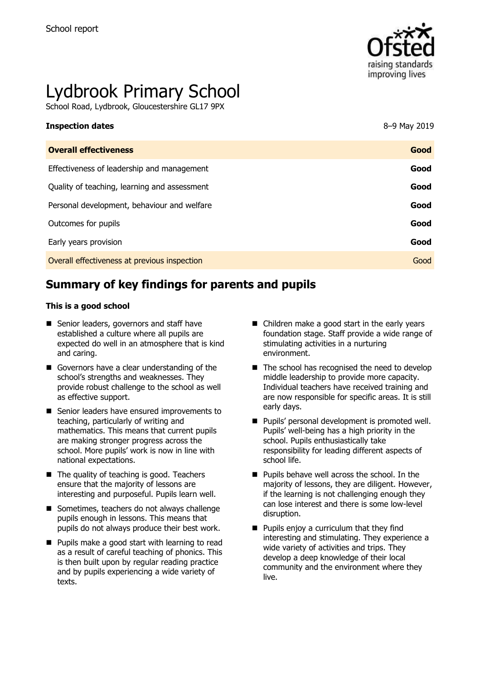

# Lydbrook Primary School

School Road, Lydbrook, Gloucestershire GL17 9PX

| <b>Inspection dates</b>                      | 8-9 May 2019 |
|----------------------------------------------|--------------|
| <b>Overall effectiveness</b>                 | Good         |
| Effectiveness of leadership and management   | Good         |
| Quality of teaching, learning and assessment | Good         |
| Personal development, behaviour and welfare  | Good         |
| Outcomes for pupils                          | Good         |
| Early years provision                        | Good         |
| Overall effectiveness at previous inspection | Good         |

# **Summary of key findings for parents and pupils**

#### **This is a good school**

- Senior leaders, governors and staff have established a culture where all pupils are expected do well in an atmosphere that is kind and caring.
- Governors have a clear understanding of the school's strengths and weaknesses. They provide robust challenge to the school as well as effective support.
- Senior leaders have ensured improvements to teaching, particularly of writing and mathematics. This means that current pupils are making stronger progress across the school. More pupils' work is now in line with national expectations.
- The quality of teaching is good. Teachers ensure that the majority of lessons are interesting and purposeful. Pupils learn well.
- Sometimes, teachers do not always challenge pupils enough in lessons. This means that pupils do not always produce their best work.
- **Pupils make a good start with learning to read** as a result of careful teaching of phonics. This is then built upon by regular reading practice and by pupils experiencing a wide variety of texts.
- Children make a good start in the early years foundation stage. Staff provide a wide range of stimulating activities in a nurturing environment.
- $\blacksquare$  The school has recognised the need to develop middle leadership to provide more capacity. Individual teachers have received training and are now responsible for specific areas. It is still early days.
- **Pupils' personal development is promoted well.** Pupils' well-being has a high priority in the school. Pupils enthusiastically take responsibility for leading different aspects of school life.
- **Pupils behave well across the school. In the** majority of lessons, they are diligent. However, if the learning is not challenging enough they can lose interest and there is some low-level disruption.
- **Pupils enjoy a curriculum that they find** interesting and stimulating. They experience a wide variety of activities and trips. They develop a deep knowledge of their local community and the environment where they live.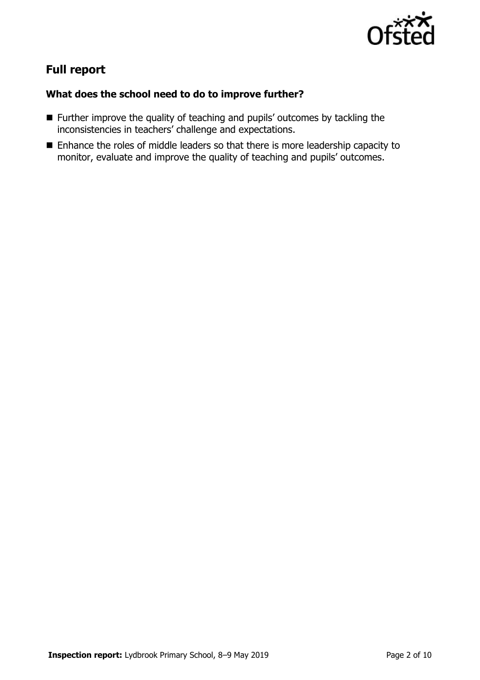

# **Full report**

### **What does the school need to do to improve further?**

- **Further improve the quality of teaching and pupils' outcomes by tackling the** inconsistencies in teachers' challenge and expectations.
- Enhance the roles of middle leaders so that there is more leadership capacity to monitor, evaluate and improve the quality of teaching and pupils' outcomes.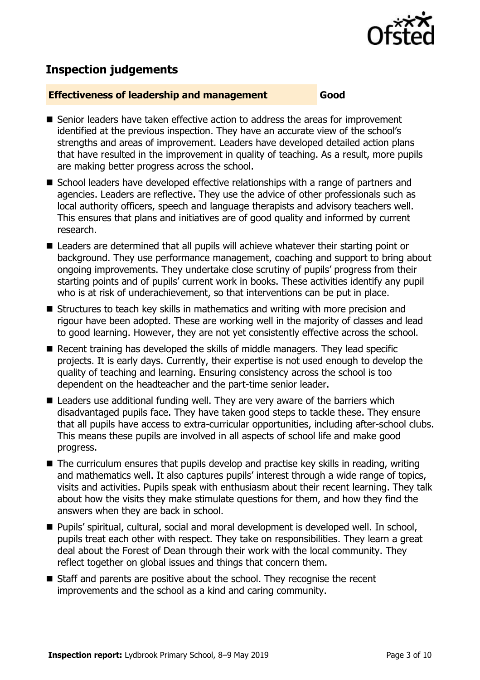

# **Inspection judgements**

#### **Effectiveness of leadership and management Good**

- Senior leaders have taken effective action to address the areas for improvement identified at the previous inspection. They have an accurate view of the school's strengths and areas of improvement. Leaders have developed detailed action plans that have resulted in the improvement in quality of teaching. As a result, more pupils are making better progress across the school.
- School leaders have developed effective relationships with a range of partners and agencies. Leaders are reflective. They use the advice of other professionals such as local authority officers, speech and language therapists and advisory teachers well. This ensures that plans and initiatives are of good quality and informed by current research.
- Leaders are determined that all pupils will achieve whatever their starting point or background. They use performance management, coaching and support to bring about ongoing improvements. They undertake close scrutiny of pupils' progress from their starting points and of pupils' current work in books. These activities identify any pupil who is at risk of underachievement, so that interventions can be put in place.
- Structures to teach key skills in mathematics and writing with more precision and rigour have been adopted. These are working well in the majority of classes and lead to good learning. However, they are not yet consistently effective across the school.
- Recent training has developed the skills of middle managers. They lead specific projects. It is early days. Currently, their expertise is not used enough to develop the quality of teaching and learning. Ensuring consistency across the school is too dependent on the headteacher and the part-time senior leader.
- Leaders use additional funding well. They are very aware of the barriers which disadvantaged pupils face. They have taken good steps to tackle these. They ensure that all pupils have access to extra-curricular opportunities, including after-school clubs. This means these pupils are involved in all aspects of school life and make good progress.
- The curriculum ensures that pupils develop and practise key skills in reading, writing and mathematics well. It also captures pupils' interest through a wide range of topics, visits and activities. Pupils speak with enthusiasm about their recent learning. They talk about how the visits they make stimulate questions for them, and how they find the answers when they are back in school.
- Pupils' spiritual, cultural, social and moral development is developed well. In school, pupils treat each other with respect. They take on responsibilities. They learn a great deal about the Forest of Dean through their work with the local community. They reflect together on global issues and things that concern them.
- Staff and parents are positive about the school. They recognise the recent improvements and the school as a kind and caring community.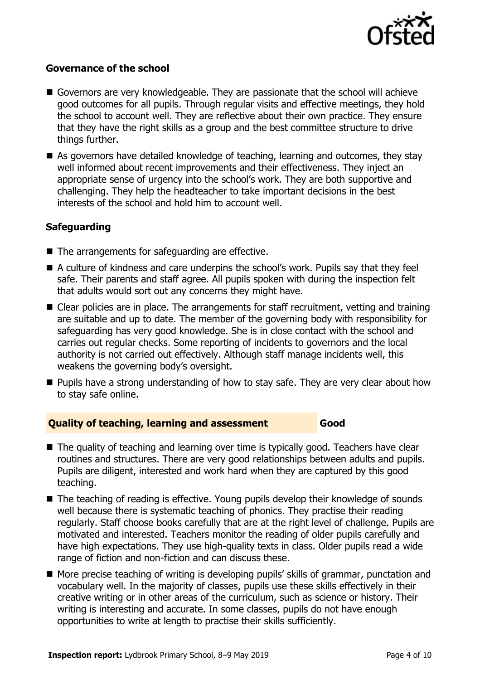

#### **Governance of the school**

- Governors are very knowledgeable. They are passionate that the school will achieve good outcomes for all pupils. Through regular visits and effective meetings, they hold the school to account well. They are reflective about their own practice. They ensure that they have the right skills as a group and the best committee structure to drive things further.
- As governors have detailed knowledge of teaching, learning and outcomes, they stay well informed about recent improvements and their effectiveness. They inject an appropriate sense of urgency into the school's work. They are both supportive and challenging. They help the headteacher to take important decisions in the best interests of the school and hold him to account well.

#### **Safeguarding**

- The arrangements for safeguarding are effective.
- A culture of kindness and care underpins the school's work. Pupils say that they feel safe. Their parents and staff agree. All pupils spoken with during the inspection felt that adults would sort out any concerns they might have.
- Clear policies are in place. The arrangements for staff recruitment, vetting and training are suitable and up to date. The member of the governing body with responsibility for safeguarding has very good knowledge. She is in close contact with the school and carries out regular checks. Some reporting of incidents to governors and the local authority is not carried out effectively. Although staff manage incidents well, this weakens the governing body's oversight.
- **Pupils have a strong understanding of how to stay safe. They are very clear about how** to stay safe online.

#### **Quality of teaching, learning and assessment Good**

- The quality of teaching and learning over time is typically good. Teachers have clear routines and structures. There are very good relationships between adults and pupils. Pupils are diligent, interested and work hard when they are captured by this good teaching.
- The teaching of reading is effective. Young pupils develop their knowledge of sounds well because there is systematic teaching of phonics. They practise their reading regularly. Staff choose books carefully that are at the right level of challenge. Pupils are motivated and interested. Teachers monitor the reading of older pupils carefully and have high expectations. They use high-quality texts in class. Older pupils read a wide range of fiction and non-fiction and can discuss these.
- More precise teaching of writing is developing pupils' skills of grammar, punctation and vocabulary well. In the majority of classes, pupils use these skills effectively in their creative writing or in other areas of the curriculum, such as science or history. Their writing is interesting and accurate. In some classes, pupils do not have enough opportunities to write at length to practise their skills sufficiently.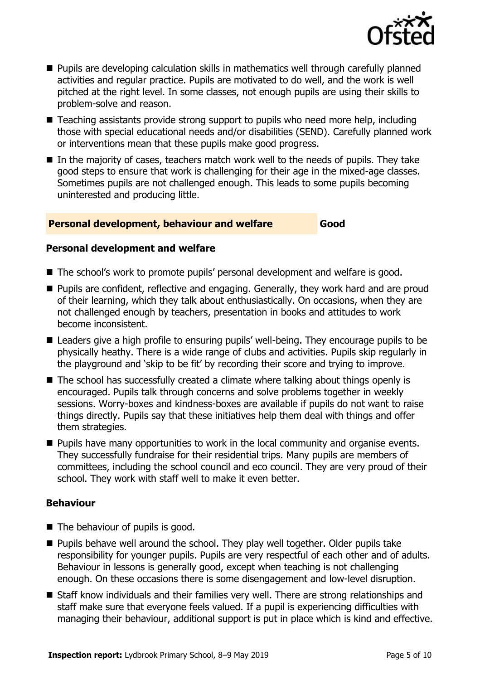

- **Pupils are developing calculation skills in mathematics well through carefully planned** activities and regular practice. Pupils are motivated to do well, and the work is well pitched at the right level. In some classes, not enough pupils are using their skills to problem-solve and reason.
- Teaching assistants provide strong support to pupils who need more help, including those with special educational needs and/or disabilities (SEND). Carefully planned work or interventions mean that these pupils make good progress.
- $\blacksquare$  In the majority of cases, teachers match work well to the needs of pupils. They take good steps to ensure that work is challenging for their age in the mixed-age classes. Sometimes pupils are not challenged enough. This leads to some pupils becoming uninterested and producing little.

#### **Personal development, behaviour and welfare Good**

#### **Personal development and welfare**

- The school's work to promote pupils' personal development and welfare is good.
- **Pupils are confident, reflective and engaging. Generally, they work hard and are proud** of their learning, which they talk about enthusiastically. On occasions, when they are not challenged enough by teachers, presentation in books and attitudes to work become inconsistent.
- Leaders give a high profile to ensuring pupils' well-being. They encourage pupils to be physically heathy. There is a wide range of clubs and activities. Pupils skip regularly in the playground and 'skip to be fit' by recording their score and trying to improve.
- The school has successfully created a climate where talking about things openly is encouraged. Pupils talk through concerns and solve problems together in weekly sessions. Worry-boxes and kindness-boxes are available if pupils do not want to raise things directly. Pupils say that these initiatives help them deal with things and offer them strategies.
- **Pupils have many opportunities to work in the local community and organise events.** They successfully fundraise for their residential trips. Many pupils are members of committees, including the school council and eco council. They are very proud of their school. They work with staff well to make it even better.

#### **Behaviour**

- The behaviour of pupils is good.
- **Pupils behave well around the school. They play well together. Older pupils take** responsibility for younger pupils. Pupils are very respectful of each other and of adults. Behaviour in lessons is generally good, except when teaching is not challenging enough. On these occasions there is some disengagement and low-level disruption.
- Staff know individuals and their families very well. There are strong relationships and staff make sure that everyone feels valued. If a pupil is experiencing difficulties with managing their behaviour, additional support is put in place which is kind and effective.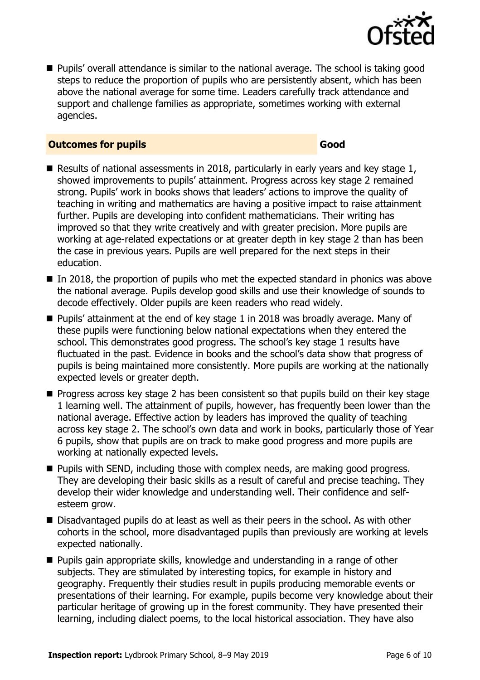

 Pupils' overall attendance is similar to the national average. The school is taking good steps to reduce the proportion of pupils who are persistently absent, which has been above the national average for some time. Leaders carefully track attendance and support and challenge families as appropriate, sometimes working with external agencies.

#### **Outcomes for pupils Good**

- Results of national assessments in 2018, particularly in early years and key stage 1, showed improvements to pupils' attainment. Progress across key stage 2 remained strong. Pupils' work in books shows that leaders' actions to improve the quality of teaching in writing and mathematics are having a positive impact to raise attainment further. Pupils are developing into confident mathematicians. Their writing has improved so that they write creatively and with greater precision. More pupils are working at age-related expectations or at greater depth in key stage 2 than has been the case in previous years. Pupils are well prepared for the next steps in their education.
- In 2018, the proportion of pupils who met the expected standard in phonics was above the national average. Pupils develop good skills and use their knowledge of sounds to decode effectively. Older pupils are keen readers who read widely.
- Pupils' attainment at the end of key stage 1 in 2018 was broadly average. Many of these pupils were functioning below national expectations when they entered the school. This demonstrates good progress. The school's key stage 1 results have fluctuated in the past. Evidence in books and the school's data show that progress of pupils is being maintained more consistently. More pupils are working at the nationally expected levels or greater depth.
- **Progress across key stage 2 has been consistent so that pupils build on their key stage** 1 learning well. The attainment of pupils, however, has frequently been lower than the national average. Effective action by leaders has improved the quality of teaching across key stage 2. The school's own data and work in books, particularly those of Year 6 pupils, show that pupils are on track to make good progress and more pupils are working at nationally expected levels.
- **Pupils with SEND, including those with complex needs, are making good progress.** They are developing their basic skills as a result of careful and precise teaching. They develop their wider knowledge and understanding well. Their confidence and selfesteem grow.
- Disadvantaged pupils do at least as well as their peers in the school. As with other cohorts in the school, more disadvantaged pupils than previously are working at levels expected nationally.
- Pupils gain appropriate skills, knowledge and understanding in a range of other subjects. They are stimulated by interesting topics, for example in history and geography. Frequently their studies result in pupils producing memorable events or presentations of their learning. For example, pupils become very knowledge about their particular heritage of growing up in the forest community. They have presented their learning, including dialect poems, to the local historical association. They have also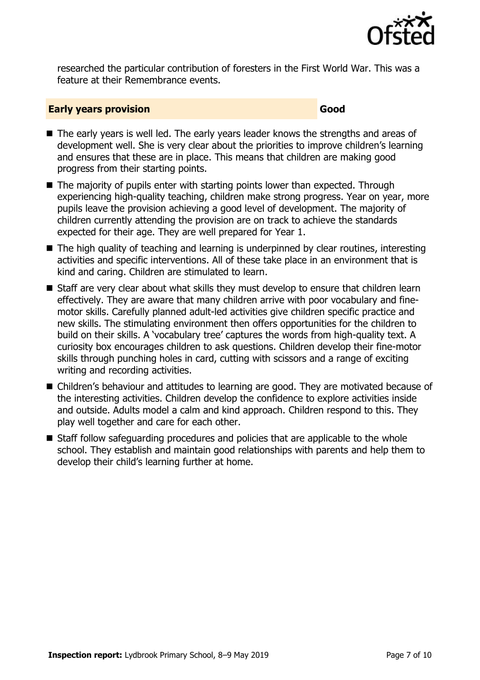

researched the particular contribution of foresters in the First World War. This was a feature at their Remembrance events.

#### **Early years provision Good Good**

- The early years is well led. The early years leader knows the strengths and areas of development well. She is very clear about the priorities to improve children's learning and ensures that these are in place. This means that children are making good progress from their starting points.
- The majority of pupils enter with starting points lower than expected. Through experiencing high-quality teaching, children make strong progress. Year on year, more pupils leave the provision achieving a good level of development. The majority of children currently attending the provision are on track to achieve the standards expected for their age. They are well prepared for Year 1.
- $\blacksquare$  The high quality of teaching and learning is underpinned by clear routines, interesting activities and specific interventions. All of these take place in an environment that is kind and caring. Children are stimulated to learn.
- Staff are very clear about what skills they must develop to ensure that children learn effectively. They are aware that many children arrive with poor vocabulary and finemotor skills. Carefully planned adult-led activities give children specific practice and new skills. The stimulating environment then offers opportunities for the children to build on their skills. A 'vocabulary tree' captures the words from high-quality text. A curiosity box encourages children to ask questions. Children develop their fine-motor skills through punching holes in card, cutting with scissors and a range of exciting writing and recording activities.
- Children's behaviour and attitudes to learning are good. They are motivated because of the interesting activities. Children develop the confidence to explore activities inside and outside. Adults model a calm and kind approach. Children respond to this. They play well together and care for each other.
- Staff follow safeguarding procedures and policies that are applicable to the whole school. They establish and maintain good relationships with parents and help them to develop their child's learning further at home.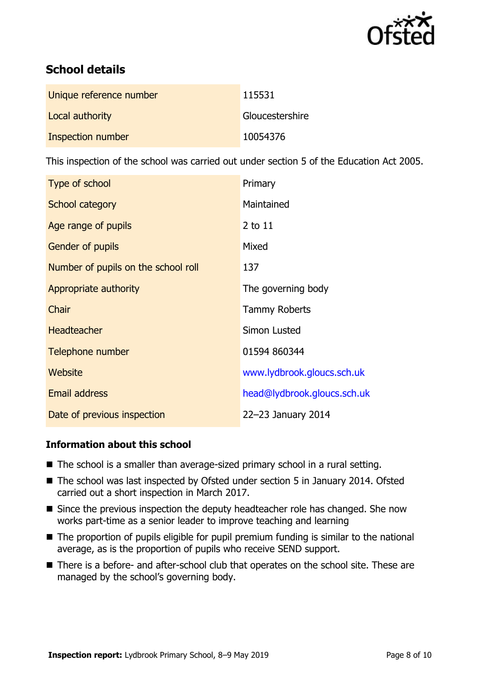

# **School details**

| Unique reference number | 115531          |
|-------------------------|-----------------|
| Local authority         | Gloucestershire |
| Inspection number       | 10054376        |

This inspection of the school was carried out under section 5 of the Education Act 2005.

| Type of school                      | Primary                     |
|-------------------------------------|-----------------------------|
| School category                     | Maintained                  |
| Age range of pupils                 | 2 to 11                     |
| <b>Gender of pupils</b>             | Mixed                       |
| Number of pupils on the school roll | 137                         |
| Appropriate authority               | The governing body          |
| Chair                               | <b>Tammy Roberts</b>        |
| <b>Headteacher</b>                  | Simon Lusted                |
| Telephone number                    | 01594 860344                |
| Website                             | www.lydbrook.gloucs.sch.uk  |
| <b>Email address</b>                | head@lydbrook.gloucs.sch.uk |
| Date of previous inspection         | 22-23 January 2014          |

### **Information about this school**

- The school is a smaller than average-sized primary school in a rural setting.
- The school was last inspected by Ofsted under section 5 in January 2014. Ofsted carried out a short inspection in March 2017.
- Since the previous inspection the deputy headteacher role has changed. She now works part-time as a senior leader to improve teaching and learning
- The proportion of pupils eligible for pupil premium funding is similar to the national average, as is the proportion of pupils who receive SEND support.
- There is a before- and after-school club that operates on the school site. These are managed by the school's governing body.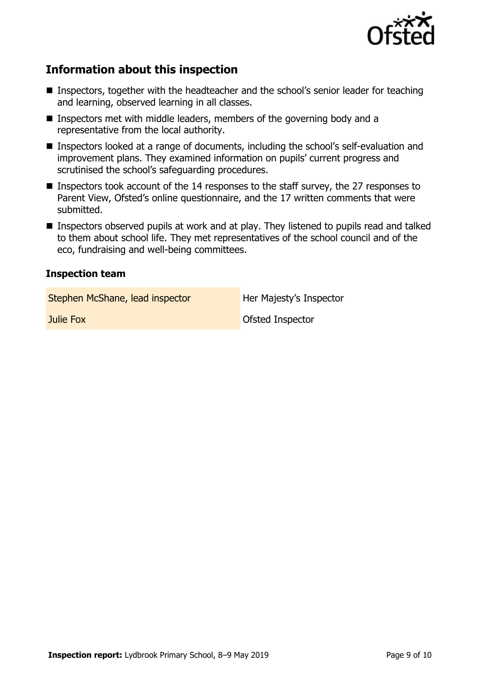

# **Information about this inspection**

- Inspectors, together with the headteacher and the school's senior leader for teaching and learning, observed learning in all classes.
- Inspectors met with middle leaders, members of the governing body and a representative from the local authority.
- Inspectors looked at a range of documents, including the school's self-evaluation and improvement plans. They examined information on pupils' current progress and scrutinised the school's safeguarding procedures.
- Inspectors took account of the 14 responses to the staff survey, the 27 responses to Parent View, Ofsted's online questionnaire, and the 17 written comments that were submitted.
- Inspectors observed pupils at work and at play. They listened to pupils read and talked to them about school life. They met representatives of the school council and of the eco, fundraising and well-being committees.

#### **Inspection team**

Stephen McShane, lead inspector Her Majesty's Inspector

**Julie Fox Districts Ofsted Inspector**